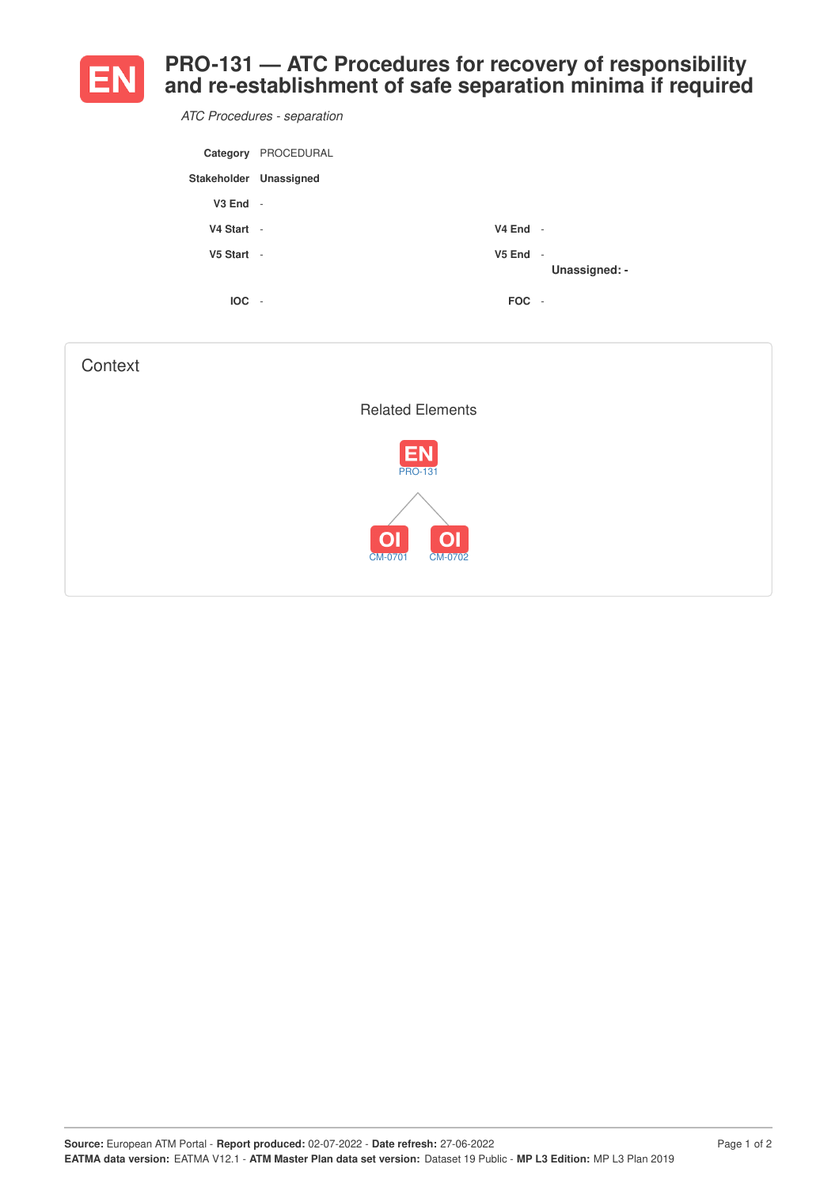

**PRO-131 — ATC Procedures for recovery of responsibility and re-establishment of safe separation minima if required**

*ATC Procedures - separation*

|                        | Category PROCEDURAL      |            |               |
|------------------------|--------------------------|------------|---------------|
| Stakeholder Unassigned |                          |            |               |
| V3 End                 | $\sim$                   |            |               |
| V4 Start -             |                          | $V4$ End - |               |
| $V5$ Start -           |                          | $V5$ End - | Unassigned: - |
| <b>IOC</b>             | $\overline{\phantom{a}}$ | FOC -      |               |

| Context                                                |  |
|--------------------------------------------------------|--|
| <b>Related Elements</b>                                |  |
| <b>EN</b><br><b>PRO-131</b>                            |  |
| O <sub>1</sub><br>O <sub>1</sub><br>CM-0701<br>CM-0702 |  |